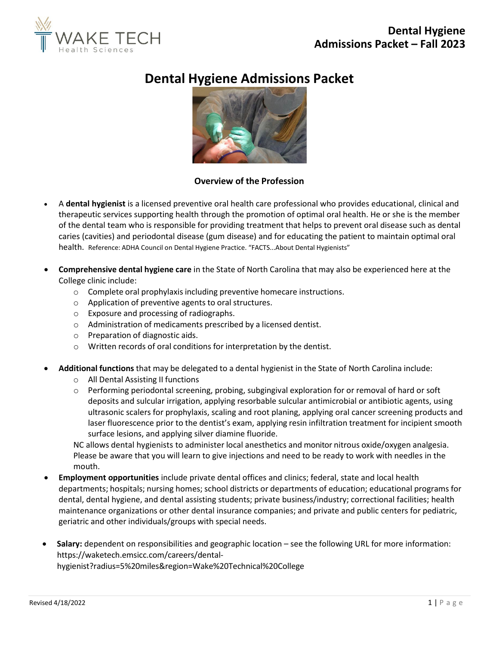

# **Dental Hygiene Admissions Packet**



## **Overview of the Profession**

- A **dental hygienist** is a licensed preventive oral health care professional who provides educational, clinical and therapeutic services supporting health through the promotion of optimal oral health. He or she is the member of the dental team who is responsible for providing treatment that helps to prevent oral disease such as dental caries (cavities) and periodontal disease (gum disease) and for educating the patient to maintain optimal oral health. Reference: ADHA Council on Dental Hygiene Practice. "FACTS...About Dental Hygienists"
- **Comprehensive dental hygiene care** in the State of North Carolina that may also be experienced here at the College clinic include:
	- $\circ$  Complete oral prophylaxis including preventive homecare instructions.
	- o Application of preventive agents to oral structures.
	- o Exposure and processing of radiographs.
	- o Administration of medicaments prescribed by a licensed dentist.
	- o Preparation of diagnostic aids.
	- o Written records of oral conditions for interpretation by the dentist.
- **Additional functions** that may be delegated to a dental hygienist in the State of North Carolina include:
	- o All Dental Assisting II functions
	- $\circ$  Performing periodontal screening, probing, subgingival exploration for or removal of hard or soft deposits and sulcular irrigation, applying resorbable sulcular antimicrobial or antibiotic agents, using ultrasonic scalers for prophylaxis, scaling and root planing, applying oral cancer screening products and laser fluorescence prior to the dentist's exam, applying resin infiltration treatment for incipient smooth surface lesions, and applying silver diamine fluoride.

NC allows dental hygienists to administer local anesthetics and monitor nitrous oxide/oxygen analgesia. Please be aware that you will learn to give injections and need to be ready to work with needles in the mouth.

- **Employment opportunities** include private dental offices and clinics; federal, state and local health departments; hospitals; nursing homes; school districts or departments of education; educational programs for dental, dental hygiene, and dental assisting students; private business/industry; correctional facilities; health maintenance organizations or other dental insurance companies; and private and public centers for pediatric, geriatric and other individuals/groups with special needs.
- **Salary:** dependent on responsibilities and geographic location see the following URL for more information: https://waketech.emsicc.com/careers/dental-

hygienist?radius=5%20miles&region=Wake%20Technical%20College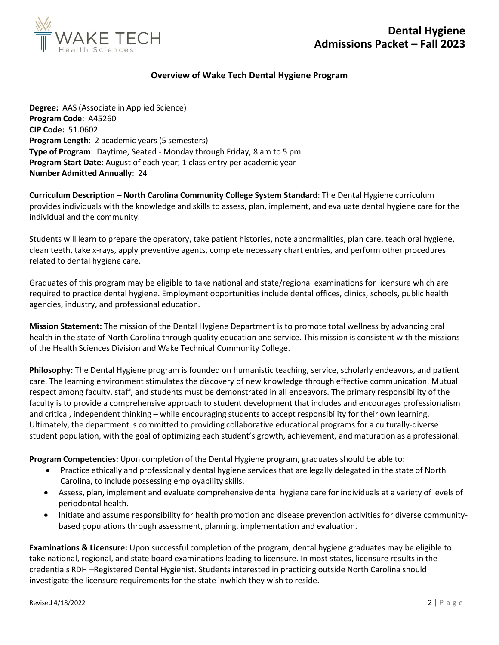

## **Overview of Wake Tech Dental Hygiene Program**

**Degree:** AAS (Associate in Applied Science) **Program Code**: A45260 **CIP Code:** 51.0602 **Program Length**: 2 academic years (5 semesters) **Type of Program**: Daytime, Seated - Monday through Friday, 8 am to 5 pm **Program Start Date**: August of each year; 1 class entry per academic year **Number Admitted Annually**: 24

**Curriculum Description – North Carolina Community College System Standard**: The Dental Hygiene curriculum provides individuals with the knowledge and skills to assess, plan, implement, and evaluate dental hygiene care for the individual and the community.

Students will learn to prepare the operatory, take patient histories, note abnormalities, plan care, teach oral hygiene, clean teeth, take x-rays, apply preventive agents, complete necessary chart entries, and perform other procedures related to dental hygiene care.

Graduates of this program may be eligible to take national and state/regional examinations for licensure which are required to practice dental hygiene. Employment opportunities include dental offices, clinics, schools, public health agencies, industry, and professional education.

**Mission Statement:** The mission of the Dental Hygiene Department is to promote total wellness by advancing oral health in the state of North Carolina through quality education and service. This mission is consistent with the missions of the Health Sciences Division and Wake Technical Community College.

**Philosophy:** The Dental Hygiene program is founded on humanistic teaching, service, scholarly endeavors, and patient care. The learning environment stimulates the discovery of new knowledge through effective communication. Mutual respect among faculty, staff, and students must be demonstrated in all endeavors. The primary responsibility of the faculty is to provide a comprehensive approach to student development that includes and encourages professionalism and critical, independent thinking – while encouraging students to accept responsibility for their own learning. Ultimately, the department is committed to providing collaborative educational programs for a culturally-diverse student population, with the goal of optimizing each student's growth, achievement, and maturation as a professional.

**Program Competencies:** Upon completion of the Dental Hygiene program, graduates should be able to:

- Practice ethically and professionally dental hygiene services that are legally delegated in the state of North Carolina, to include possessing employability skills.
- Assess, plan, implement and evaluate comprehensive dental hygiene care for individuals at a variety of levels of periodontal health.
- Initiate and assume responsibility for health promotion and disease prevention activities for diverse communitybased populations through assessment, planning, implementation and evaluation.

**Examinations & Licensure:** Upon successful completion of the program, dental hygiene graduates may be eligible to take national, regional, and state board examinations leading to licensure. In most states, licensure results in the credentials RDH –Registered Dental Hygienist. Students interested in practicing outside North Carolina should investigate the licensure requirements for the state inwhich they wish to reside.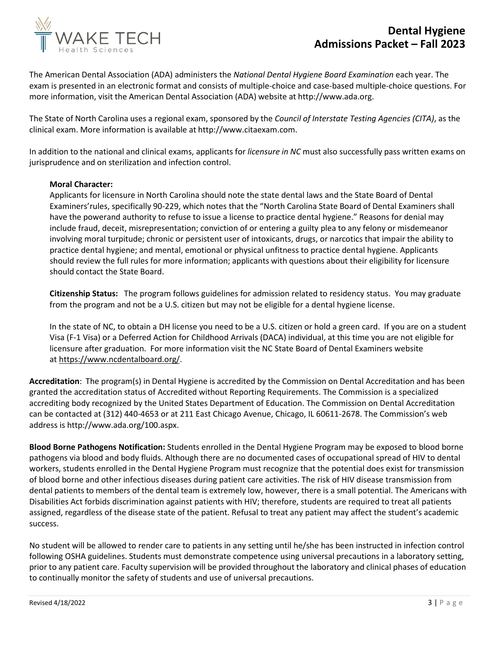



The American Dental Association (ADA) administers the *National Dental Hygiene Board Examination* each year. The exam is presented in an electronic format and consists of multiple-choice and case-based multiple-choice questions. For more information, visit the American Dental Association (ADA) website at [http://www.ada.org.](http://www.ada.org/)

The State of North Carolina uses a regional exam, sponsored by the *Council of Interstate Testing Agencies (CITA)*, as the clinical exam. More information is available at [http://www.citaexam.com.](http://www.citaexam.com/)

In addition to the national and clinical exams, applicants for *licensure in NC* must also successfully pass written exams on jurisprudence and on sterilization and infection control.

### **Moral Character:**

Applicants for licensure in North Carolina should note the state dental laws and the State Board of Dental Examiners'rules, specifically 90-229, which notes that the "North Carolina State Board of Dental Examiners shall have the powerand authority to refuse to issue a license to practice dental hygiene." Reasons for denial may include fraud, deceit, misrepresentation; conviction of or entering a guilty plea to any felony or misdemeanor involving moral turpitude; chronic or persistent user of intoxicants, drugs, or narcotics that impair the ability to practice dental hygiene; and mental, emotional or physical unfitness to practice dental hygiene. Applicants should review the full rules for more information; applicants with questions about their eligibility for licensure should contact the State Board.

**Citizenship Status:** The program follows guidelines for admission related to residency status. You may graduate from the program and not be a U.S. citizen but may not be eligible for a dental hygiene license.

In the state of NC, to obtain a DH license you need to be a U.S. citizen or hold a green card. If you are on a student Visa (F-1 Visa) or a Deferred Action for Childhood Arrivals (DACA) individual, at this time you are not eligible for licensure after graduation. For more information visit the NC State Board of Dental Examiners website at [https://www.ncdentalboard.org/.](https://www.ncdentalboard.org/)

**Accreditation**: The program(s) in Dental Hygiene is accredited by the Commission on Dental Accreditation and has been granted the accreditation status of Accredited without Reporting Requirements. The Commission is a specialized accrediting body recognized by the United States Department of Education. The Commission on Dental Accreditation can be contacted at (312) 440-4653 or at 211 East Chicago Avenue, Chicago, IL 60611-2678. The Commission's web address is [http://www.ada.org/100.aspx.](http://www.ada.org/100.aspx)

**Blood Borne Pathogens Notification:** Students enrolled in the Dental Hygiene Program may be exposed to blood borne pathogens via blood and body fluids. Although there are no documented cases of occupational spread of HIV to dental workers, students enrolled in the Dental Hygiene Program must recognize that the potential does exist for transmission of blood borne and other infectious diseases during patient care activities. The risk of HIV disease transmission from dental patients to members of the dental team is extremely low, however, there is a small potential. The Americans with Disabilities Act forbids discrimination against patients with HIV; therefore, students are required to treat all patients assigned, regardless of the disease state of the patient. Refusal to treat any patient may affect the student's academic success.

No student will be allowed to render care to patients in any setting until he/she has been instructed in infection control following OSHA guidelines. Students must demonstrate competence using universal precautions in a laboratory setting, prior to any patient care. Faculty supervision will be provided throughout the laboratory and clinical phases of education to continually monitor the safety of students and use of universal precautions.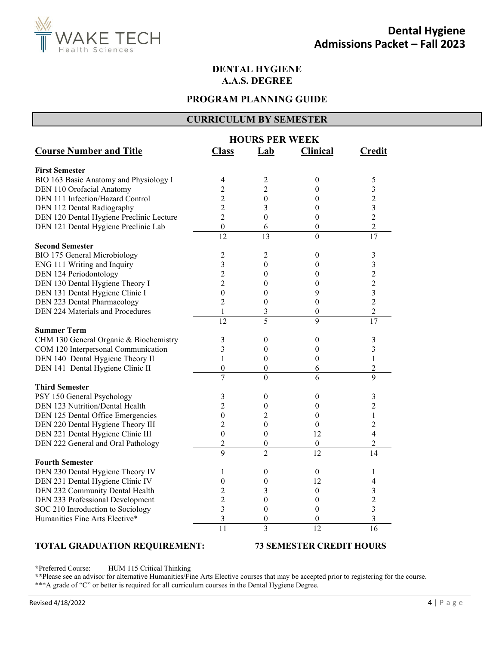

## **DENTAL HYGIENE A.A.S. DEGREE**

## **PROGRAM PLANNING GUIDE**

## **CURRICULUM BY SEMESTER**

|                                          | <b>HOURS PER WEEK</b>   |                  |                  |                         |
|------------------------------------------|-------------------------|------------------|------------------|-------------------------|
| <b>Course Number and Title</b>           | <b>Class</b>            | Lab              | <b>Clinical</b>  | <b>Credit</b>           |
| <b>First Semester</b>                    |                         |                  |                  |                         |
| BIO 163 Basic Anatomy and Physiology I   | 4                       | 2                | 0                | 5                       |
| DEN 110 Orofacial Anatomy                | 2                       | $\overline{2}$   | 0                | 3                       |
| DEN 111 Infection/Hazard Control         | $\overline{c}$          | $\boldsymbol{0}$ | 0                | $\overline{c}$          |
| DEN 112 Dental Radiography               | $\overline{c}$          | 3                | $\overline{0}$   | 3                       |
| DEN 120 Dental Hygiene Preclinic Lecture | $\overline{2}$          | 0                | 0                | $\overline{c}$          |
| DEN 121 Dental Hygiene Preclinic Lab     | $\boldsymbol{0}$        | $\sqrt{6}$       | $\boldsymbol{0}$ | $\overline{c}$          |
|                                          | $\overline{12}$         | 13               | $\overline{0}$   | $\overline{17}$         |
| <b>Second Semester</b>                   |                         |                  |                  |                         |
| BIO 175 General Microbiology             | 2                       | 2                | $\boldsymbol{0}$ | 3                       |
| ENG 111 Writing and Inquiry              | 3                       | $\boldsymbol{0}$ | 0                | 3                       |
| DEN 124 Periodontology                   | $\overline{c}$          | $\theta$         | 0                | $\overline{c}$          |
| DEN 130 Dental Hygiene Theory I          | $\overline{2}$          | $\theta$         | 0                | $\overline{c}$          |
| DEN 131 Dental Hygiene Clinic I          | $\theta$                | $\boldsymbol{0}$ | 9                | 3                       |
| DEN 223 Dental Pharmacology              | $\overline{c}$          | $\boldsymbol{0}$ | 0                | $\overline{c}$          |
| DEN 224 Materials and Procedures         | 1                       | 3                | $\boldsymbol{0}$ | $\overline{c}$          |
|                                          | $\overline{12}$         | 5                | 9                | 17                      |
| <b>Summer Term</b>                       |                         |                  |                  |                         |
| CHM 130 General Organic & Biochemistry   | 3                       | 0                | 0                | 3                       |
| COM 120 Interpersonal Communication      | 3                       | $\boldsymbol{0}$ | $\overline{0}$   | 3                       |
| DEN 140 Dental Hygiene Theory II         | 1                       | $\boldsymbol{0}$ | 0                | $\mathbf{1}$            |
| DEN 141 Dental Hygiene Clinic II         | $\boldsymbol{0}$        | $\boldsymbol{0}$ | 6                | $\overline{c}$          |
|                                          | $\overline{7}$          | $\overline{0}$   | 6                | 9                       |
| <b>Third Semester</b>                    |                         |                  |                  |                         |
| PSY 150 General Psychology               | 3                       | $\theta$         | $\boldsymbol{0}$ | 3                       |
| DEN 123 Nutrition/Dental Health          | $\overline{2}$          | $\boldsymbol{0}$ | 0                | $\overline{2}$          |
| DEN 125 Dental Office Emergencies        | $\boldsymbol{0}$        | $\overline{c}$   | $\theta$         | $\mathbf{1}$            |
| DEN 220 Dental Hygiene Theory III        | 2                       | $\boldsymbol{0}$ | $\mathbf{0}$     | $\overline{c}$          |
| DEN 221 Dental Hygiene Clinic III        | $\boldsymbol{0}$        | $\boldsymbol{0}$ | 12               | $\overline{4}$          |
| DEN 222 General and Oral Pathology       | $\overline{2}$          | $\boldsymbol{0}$ | $\boldsymbol{0}$ | $\overline{2}$          |
|                                          | $\mathbf Q$             | $\overline{c}$   | 12               | 14                      |
| <b>Fourth Semester</b>                   |                         |                  |                  |                         |
| DEN 230 Dental Hygiene Theory IV         | 1                       | 0                | 0                | 1                       |
| DEN 231 Dental Hygiene Clinic IV         | 0                       | $\boldsymbol{0}$ | 12               | 4                       |
| DEN 232 Community Dental Health          | $\overline{c}$          | 3                | 0                | 3                       |
| DEN 233 Professional Development         | $\overline{c}$          | $\boldsymbol{0}$ | 0                | $\overline{c}$          |
| SOC 210 Introduction to Sociology        | $\overline{\mathbf{3}}$ | $\boldsymbol{0}$ | $\boldsymbol{0}$ | $\overline{\mathbf{3}}$ |
| Humanities Fine Arts Elective*           | 3                       | $\boldsymbol{0}$ | 0                | 3                       |
|                                          | 11                      | $\overline{3}$   | 12               | 16                      |
|                                          |                         |                  |                  |                         |

## **TOTAL GRADUATION REQUIREMENT: 73 SEMESTER CREDIT HOURS**

**\***Preferred Course: HUM 115 Critical Thinking

**\*\***Please see an advisor for alternative Humanities/Fine Arts Elective courses that may be accepted prior to registering for the course. \*\*\*A grade of "C" or better is required for all curriculum courses in the Dental Hygiene Degree.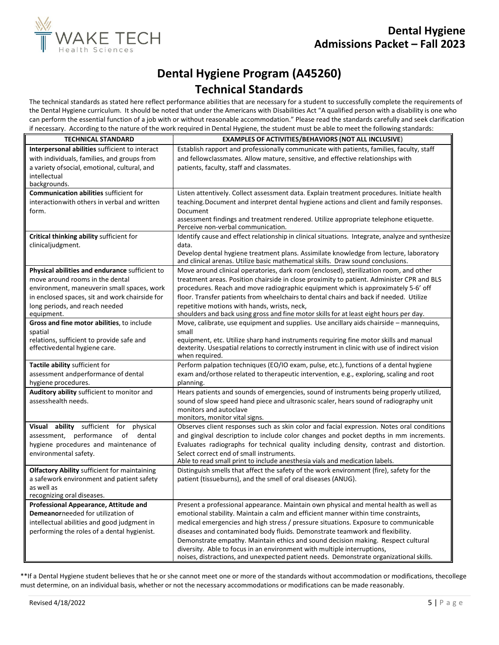

# **Dental Hygiene Program (A45260) Technical Standards**

The technical standards as stated here reflect performance abilities that are necessary for a student to successfully complete the requirements of the Dental Hygiene curriculum. It should be noted that under the Americans with Disabilities Act "A qualified person with a disability is one who can perform the essential function of a job with or without reasonable accommodation." Please read the standards carefully and seek clarification if necessary. According to the nature of the work required in Dental Hygiene, the student must be able to meet the following standards:

| <b>TECHNICAL STANDARD</b>                            | <b>EXAMPLES OF ACTIVITIES/BEHAVIORS (NOT ALL INCLUSIVE)</b>                                                                                                              |
|------------------------------------------------------|--------------------------------------------------------------------------------------------------------------------------------------------------------------------------|
| Interpersonal abilities sufficient to interact       | Establish rapport and professionally communicate with patients, families, faculty, staff                                                                                 |
| with individuals, families, and groups from          | and fellowclassmates. Allow mature, sensitive, and effective relationships with                                                                                          |
| a variety of social, emotional, cultural, and        | patients, faculty, staff and classmates.                                                                                                                                 |
| intellectual<br>backgrounds.                         |                                                                                                                                                                          |
| <b>Communication abilities sufficient for</b>        | Listen attentively. Collect assessment data. Explain treatment procedures. Initiate health                                                                               |
| interaction with others in verbal and written        | teaching. Document and interpret dental hygiene actions and client and family responses.                                                                                 |
| form.                                                | Document                                                                                                                                                                 |
|                                                      | assessment findings and treatment rendered. Utilize appropriate telephone etiquette.<br>Perceive non-verbal communication.                                               |
| Critical thinking ability sufficient for             | Identify cause and effect relationship in clinical situations. Integrate, analyze and synthesize                                                                         |
| clinicaljudgment.                                    | data.                                                                                                                                                                    |
|                                                      | Develop dental hygiene treatment plans. Assimilate knowledge from lecture, laboratory<br>and clinical arenas. Utilize basic mathematical skills. Draw sound conclusions. |
| Physical abilities and endurance sufficient to       | Move around clinical operatories, dark room (enclosed), sterilization room, and other                                                                                    |
| move around rooms in the dental                      | treatment areas. Position chairside in close proximity to patient. Administer CPR and BLS                                                                                |
| environment, maneuverin small spaces, work           | procedures. Reach and move radiographic equipment which is approximately 5-6' off                                                                                        |
| in enclosed spaces, sit and work chairside for       | floor. Transfer patients from wheelchairs to dental chairs and back if needed. Utilize                                                                                   |
| long periods, and reach needed                       | repetitive motions with hands, wrists, neck,                                                                                                                             |
| equipment.                                           | shoulders and back using gross and fine motor skills for at least eight hours per day.                                                                                   |
| Gross and fine motor abilities, to include           | Move, calibrate, use equipment and supplies. Use ancillary aids chairside - mannequins,<br>small                                                                         |
| spatial<br>relations, sufficient to provide safe and | equipment, etc. Utilize sharp hand instruments requiring fine motor skills and manual                                                                                    |
| effectivedental hygiene care.                        | dexterity. Usespatial relations to correctly instrument in clinic with use of indirect vision                                                                            |
|                                                      | when required.                                                                                                                                                           |
| Tactile ability sufficient for                       | Perform palpation techniques (EO/IO exam, pulse, etc.), functions of a dental hygiene                                                                                    |
| assessment andperformance of dental                  | exam and/orthose related to therapeutic intervention, e.g., exploring, scaling and root                                                                                  |
| hygiene procedures.                                  | planning.                                                                                                                                                                |
| Auditory ability sufficient to monitor and           | Hears patients and sounds of emergencies, sound of instruments being properly utilized,                                                                                  |
| assesshealth needs.                                  | sound of slow speed hand piece and ultrasonic scaler, hears sound of radiography unit                                                                                    |
|                                                      | monitors and autoclave<br>monitors, monitor vital signs.                                                                                                                 |
| Visual<br>ability sufficient for<br>physical         | Observes client responses such as skin color and facial expression. Notes oral conditions                                                                                |
| assessment, performance<br>of<br>dental              | and gingival description to include color changes and pocket depths in mm increments.                                                                                    |
| hygiene procedures and maintenance of                | Evaluates radiographs for technical quality including density, contrast and distortion.                                                                                  |
| environmental safety.                                | Select correct end of small instruments.                                                                                                                                 |
|                                                      | Able to read small print to include anesthesia vials and medication labels.                                                                                              |
| <b>Olfactory Ability sufficient for maintaining</b>  | Distinguish smells that affect the safety of the work environment (fire), safety for the                                                                                 |
| a safework environment and patient safety            | patient (tissueburns), and the smell of oral diseases (ANUG).                                                                                                            |
| as well as<br>recognizing oral diseases.             |                                                                                                                                                                          |
| Professional Appearance, Attitude and                | Present a professional appearance. Maintain own physical and mental health as well as                                                                                    |
| Demeanorneeded for utilization of                    | emotional stability. Maintain a calm and efficient manner within time constraints,                                                                                       |
| intellectual abilities and good judgment in          | medical emergencies and high stress / pressure situations. Exposure to communicable                                                                                      |
| performing the roles of a dental hygienist.          | diseases and contaminated body fluids. Demonstrate teamwork and flexibility.                                                                                             |
|                                                      | Demonstrate empathy. Maintain ethics and sound decision making. Respect cultural                                                                                         |
|                                                      | diversity. Able to focus in an environment with multiple interruptions,                                                                                                  |
|                                                      | noises, distractions, and unexpected patient needs. Demonstrate organizational skills.                                                                                   |

\*\*If a Dental Hygiene student believes that he or she cannot meet one or more of the standards without accommodation or modifications, thecollege must determine, on an individual basis, whether or not the necessary accommodations or modifications can be made reasonably.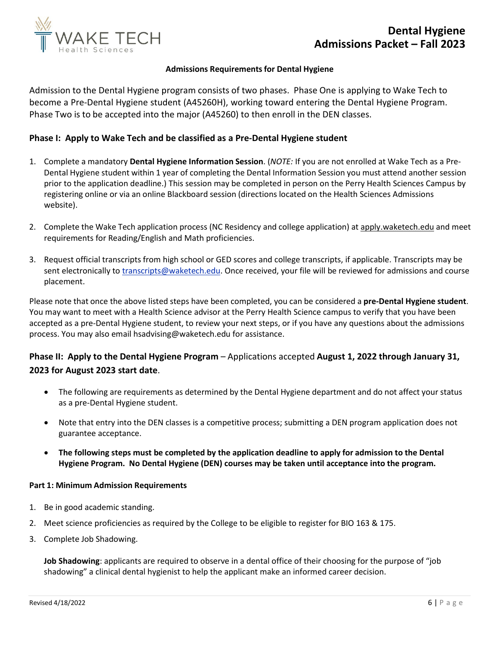

### **Admissions Requirementsfor Dental Hygiene**

Admission to the Dental Hygiene program consists of two phases. Phase One is applying to Wake Tech to become a Pre-Dental Hygiene student (A45260H), working toward entering the Dental Hygiene Program. Phase Two is to be accepted into the major (A45260) to then enroll in the DEN classes.

## **Phase I: Apply to Wake Tech and be classified as a Pre-Dental Hygiene student**

- 1. Complete a mandatory **Dental Hygiene Information Session**. (*NOTE:* If you are not enrolled at Wake Tech as a Pre-Dental Hygiene student within 1 year of completing the Dental Information Session you must attend another session prior to the application deadline.) This session may be completed in person on the Perry Health Sciences Campus by registering online or via an online Blackboard session (directions located on the Health Sciences Admissions website).
- 2. Complete the Wake Tech application process (NC Residency and college application) at apply.waketech.edu and meet requirements for Reading/English and Math proficiencies.
- 3. Request official transcripts from high school or GED scores and college transcripts, if applicable. Transcripts may be sent electronically to [transcripts@waketech.edu.](mailto:transcripts@waketech.edu) Once received, your file will be reviewed for admissions and course placement.

Please note that once the above listed steps have been completed, you can be considered a **pre-Dental Hygiene student**. You may want to meet with a Health Science advisor at the Perry Health Science campus to verify that you have been accepted as a pre-Dental Hygiene student, to review your next steps, or if you have any questions about the admissions process. You may also email hsadvising@waketech.edu for assistance.

## **Phase II: Apply to the Dental Hygiene Program** – Applications accepted **August 1, 2022 through January 31, 2023 for August 2023 start date**.

- The following are requirements as determined by the Dental Hygiene department and do not affect your status as a pre-Dental Hygiene student.
- Note that entry into the DEN classes is [a competitive process; s](http://www.waketech.edu/become-student/become-credit-programs-student/health-sciences-student/health-sciences-admissions/c-1)ubmitting a DEN program application does not guarantee acceptance.
- **The following steps must be completed by the application deadline to apply for admission to the Dental Hygiene Program. No Dental Hygiene (DEN) courses may be taken until acceptance into the program.**

#### **Part 1: Minimum Admission Requirements**

- 1. Be in good academic standing.
- 2. Meet science proficiencies as required by the College to be eligible to register for BIO 163 & 175.
- 3. Complete Job Shadowing.

**Job Shadowing**: applicants are required to observe in a dental office of their choosing for the purpose of "job shadowing" a clinical dental hygienist to help the applicant make an informed career decision.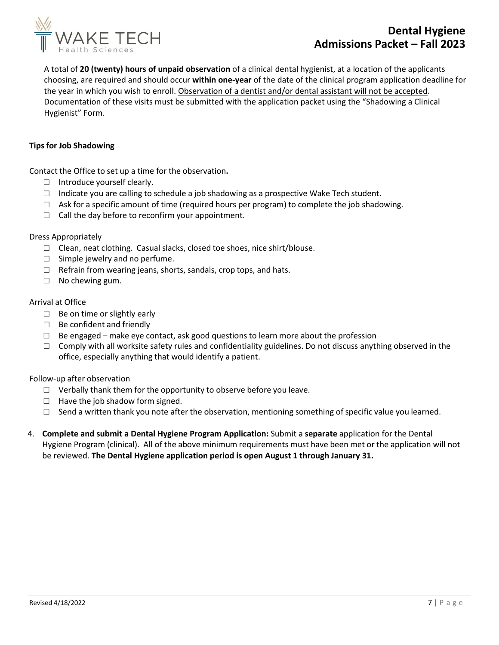

## **Dental Hygiene Admissions Packet – Fall 2023**

A total of **20 (twenty) hours of unpaid observation** of a clinical dental hygienist, at a location of the applicants choosing, are required and should occur **within one- year** of the date of the clinical program application deadline for the year in which you wish to enroll. Observation of a dentist and/or dental assistant will not be accepted. Documentation of these visits must be submitted with the application packet using the "Shadowing a Clinical Hygienist" Form.

## **Tipsfor Job Shadowing**

Contact the Office to set up a time for the observation**.** 

- □ Introduce yourself clearly.
- $\Box$  Indicate you are calling to schedule a job shadowing as a prospective Wake Tech student.
- $\Box$  Ask for a specific amount of time (required hours per program) to complete the job shadowing.
- $\Box$  Call the day before to reconfirm your appointment.

## Dress Appropriately

- □ Clean, neat clothing. Casual slacks, closed toe shoes, nice shirt/blouse.
- $\Box$  Simple jewelry and no perfume.
- $\Box$  Refrain from wearing jeans, shorts, sandals, crop tops, and hats.
- □ No chewing gum.

## Arrival at Office

- □ Be on time or slightly early
- □ Be confident and friendly
- $\Box$  Be engaged make eye contact, ask good questions to learn more about the profession
- $\Box$  Comply with all worksite safety rules and confidentiality guidelines. Do not discuss anything observed in the office, especially anything that would identify a patient.

## Follow-up after observation

- $\Box$  Verbally thank them for the opportunity to observe before you leave.
- $\Box$  Have the job shadow form signed.
- $\Box$  Send a written thank you note after the observation, mentioning something of specific value you learned.
- 4. **Complete and submit a Dental Hygiene Program Application:** Submit a **separate** application for the Dental Hygiene Program (clinical). All of the above minimum requirements must have been met or the application will not be reviewed. **The Dental Hygiene application period is open August 1 through January 31.**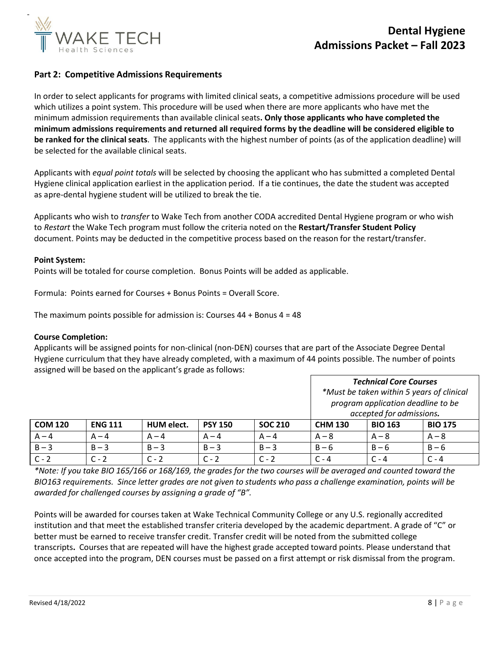

## **Part 2: Competitive Admissions Requirements**

In order to select applicants for programs with limited clinical seats, a competitive admissions procedure will be used which utilizes a point system. This procedure will be used when there are more applicants who have met the minimum admission requirements than available clinical seats**. Only those applicants who have completed the minimum admissions requirements and returned all required forms by the deadline will be considered eligible to be ranked for the clinical seats**. The applicants with the highest number of points (as of the application deadline) will be selected for the available clinical seats.

Applicants with *equal point totals* will be selected by choosing the applicant who has submitted a completed Dental Hygiene clinical application earliest in the application period. If a tie continues, the date the student was accepted as apre-dental hygiene student will be utilized to break the tie.

Applicants who wish to *transfer* to Wake Tech from another CODA accredited Dental Hygiene program or who wish to *Restart* the Wake Tech program must follow the criteria noted on the **Restart/Transfer Student Policy** document. Points may be deducted in the competitive process based on the reason for the restart/transfer.

#### **Point System:**

Points will be totaled for course completion. Bonus Points will be added as applicable.

Formula: Points earned for Courses + Bonus Points = Overall Score.

The maximum points possible for admission is: Courses  $44 +$  Bonus  $4 = 48$ 

#### **Course Completion:**

Applicants will be assigned points for non-clinical (non-DEN) courses that are part of the Associate Degree Dental Hygiene curriculum that they have already completed, with a maximum of 44 points possible. The number of points assigned will be based on the applicant's grade as follows:

|                |                |            |                |                | <b>Technical Core Courses</b><br>*Must be taken within 5 years of clinical<br>program application deadline to be<br>accepted for admissions. |                |                |
|----------------|----------------|------------|----------------|----------------|----------------------------------------------------------------------------------------------------------------------------------------------|----------------|----------------|
| <b>COM 120</b> | <b>ENG 111</b> | HUM elect. | <b>PSY 150</b> | <b>SOC 210</b> | <b>CHM 130</b>                                                                                                                               | <b>BIO 163</b> | <b>BIO 175</b> |
| $A - 4$        | $A - 4$        | $A - 4$    | $A - 4$        | $A - 4$        | $A - 8$                                                                                                                                      | $A - 8$        | $A - 8$        |
| $B - 3$        | $B - 3$        | $B - 3$    | $B - 3$        | $B - 3$        | $B - 6$                                                                                                                                      | $B - 6$        | $B - 6$        |
| $C - 2$        | $C - 2$        | $C - 2$    | $C - 2$        | $C - 2$        | $C - 4$                                                                                                                                      | $C - 4$        | $C - 4$        |

*\*Note: If you take BIO 165/166 or 168/169, the grades for the two courses will be averaged and counted toward the*  BIO163 requirements. Since letter grades are not given to students who pass a challenge examination, points will be *awarded for challenged courses by assigning a grade of "B".*

Points will be awarded for courses taken at Wake Technical Community College or any U.S. regionally accredited institution and that meet the established transfer criteria developed by the academic department. A grade of "C" or better must be earned to receive transfer credit. Transfer credit will be noted from the submitted college transcripts**.** Courses that are repeated will have the highest grade accepted toward points. Please understand that once accepted into the program, DEN courses must be passed on a first attempt or risk dismissal from the program.